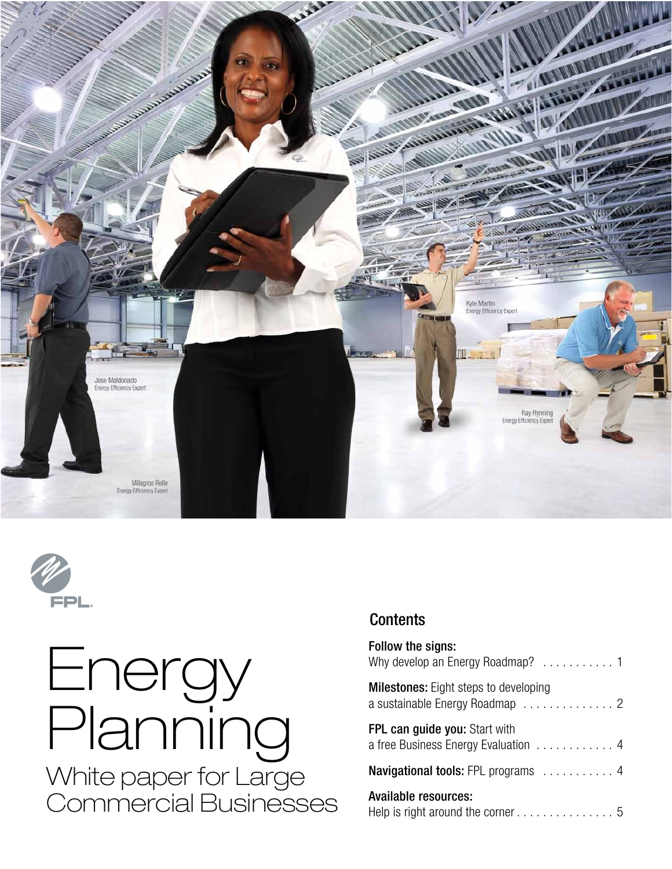



# Energy Planning White paper for Large Commercial Businesses

### **Contents**

| Follow the signs:<br>Why develop an Energy Roadmap? 1                          |
|--------------------------------------------------------------------------------|
| <b>Milestones:</b> Eight steps to developing<br>a sustainable Energy Roadmap 2 |
| <b>FPL can guide you: Start with</b><br>a free Business Energy Evaluation 4    |
| Navigational tools: FPL programs  4                                            |
| Available resources:                                                           |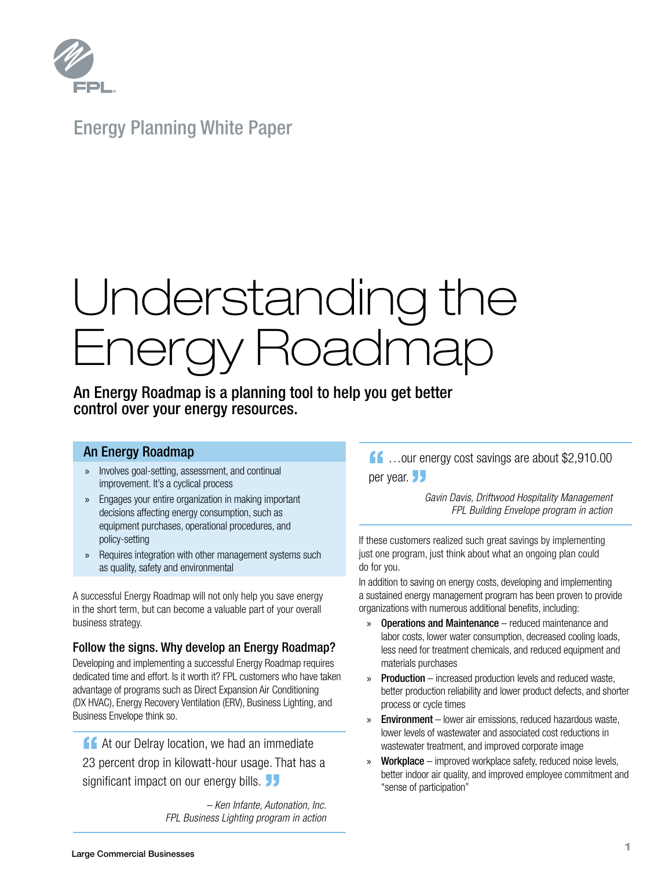

Energy Planning White Paper

# Understanding the Energy Roadmap

An Energy Roadmap is a planning tool to help you get better control over your energy resources.

#### An Energy Roadmap

- » Involves goal-setting, assessment, and continual improvement. It's a cyclical process
- » Engages your entire organization in making important decisions affecting energy consumption, such as equipment purchases, operational procedures, and policy-setting
- » Requires integration with other management systems such as quality, safety and environmental

A successful Energy Roadmap will not only help you save energy in the short term, but can become a valuable part of your overall business strategy.

#### Follow the signs. Why develop an Energy Roadmap?

Developing and implementing a successful Energy Roadmap requires dedicated time and effort. Is it worth it? FPL customers who have taken advantage of programs such as Direct Expansion Air Conditioning (DX HVAC), Energy Recovery Ventilation (ERV), Business Lighting, and Business Envelope think so.

**14 At our Delray location, we had an immediate** 23 percent drop in kilowatt-hour usage. That has a significant impact on our energy bills.

*– Ken Infante, Autonation, Inc. FPL Business Lighting program in action*

## 11 ...our energy cost savings are about \$2,910.00 per year. JJ

 *Gavin Davis, Driftwood Hospitality Management FPL Building Envelope program in action*

If these customers realized such great savings by implementing just one program, just think about what an ongoing plan could do for you.

In addition to saving on energy costs, developing and implementing a sustained energy management program has been proven to provide organizations with numerous additional benefits, including:

- » Operations and Maintenance reduced maintenance and labor costs, lower water consumption, decreased cooling loads, less need for treatment chemicals, and reduced equipment and materials purchases
- » Production increased production levels and reduced waste, better production reliability and lower product defects, and shorter process or cycle times
- » Environment lower air emissions, reduced hazardous waste, lower levels of wastewater and associated cost reductions in wastewater treatment, and improved corporate image
- » Workplace improved workplace safety, reduced noise levels, better indoor air quality, and improved employee commitment and "sense of participation"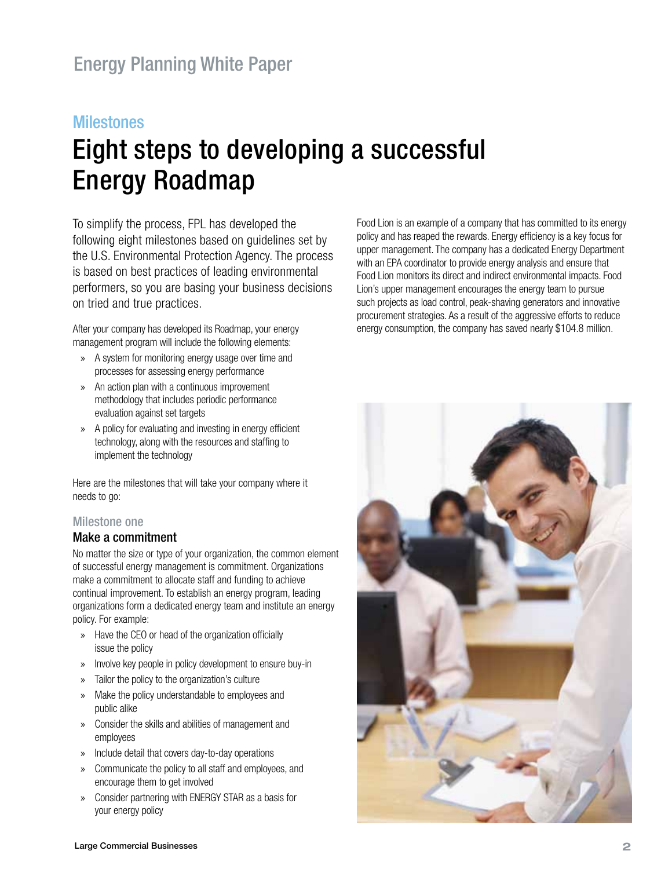#### **Milestones**

# Eight steps to developing a successful Energy Roadmap

To simplify the process, FPL has developed the following eight milestones based on guidelines set by the U.S. Environmental Protection Agency. The process is based on best practices of leading environmental performers, so you are basing your business decisions on tried and true practices.

After your company has developed its Roadmap, your energy management program will include the following elements:

- » A system for monitoring energy usage over time and processes for assessing energy performance
- » An action plan with a continuous improvement methodology that includes periodic performance evaluation against set targets
- » A policy for evaluating and investing in energy efficient technology, along with the resources and staffing to implement the technology

Here are the milestones that will take your company where it needs to go:

#### Milestone one

#### Make a commitment

No matter the size or type of your organization, the common element of successful energy management is commitment. Organizations make a commitment to allocate staff and funding to achieve continual improvement. To establish an energy program, leading organizations form a dedicated energy team and institute an energy policy. For example:

- » Have the CEO or head of the organization officially issue the policy
- » Involve key people in policy development to ensure buy-in
- » Tailor the policy to the organization's culture
- » Make the policy understandable to employees and public alike
- » Consider the skills and abilities of management and employees
- » Include detail that covers day-to-day operations
- » Communicate the policy to all staff and employees, and encourage them to get involved
- » Consider partnering with ENERGY STAR as a basis for your energy policy

Food Lion is an example of a company that has committed to its energy policy and has reaped the rewards. Energy efficiency is a key focus for upper management. The company has a dedicated Energy Department with an EPA coordinator to provide energy analysis and ensure that Food Lion monitors its direct and indirect environmental impacts. Food Lion's upper management encourages the energy team to pursue such projects as load control, peak-shaving generators and innovative procurement strategies. As a result of the aggressive efforts to reduce energy consumption, the company has saved nearly \$104.8 million.

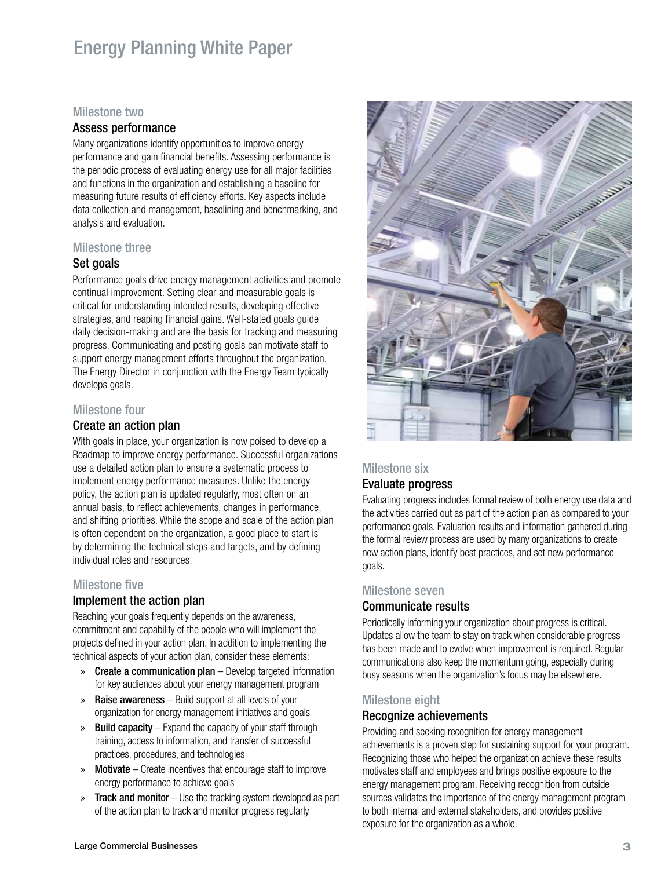### Energy Planning White Paper

#### Milestone two

#### Assess performance

Many organizations identify opportunities to improve energy performance and gain financial benefits. Assessing performance is the periodic process of evaluating energy use for all major facilities and functions in the organization and establishing a baseline for measuring future results of efficiency efforts. Key aspects include data collection and management, baselining and benchmarking, and analysis and evaluation.

#### Milestone three

#### Set goals

Performance goals drive energy management activities and promote continual improvement. Setting clear and measurable goals is critical for understanding intended results, developing effective strategies, and reaping financial gains. Well-stated goals guide daily decision-making and are the basis for tracking and measuring progress. Communicating and posting goals can motivate staff to support energy management efforts throughout the organization. The Energy Director in conjunction with the Energy Team typically develops goals.

#### Milestone four

#### Create an action plan

With goals in place, your organization is now poised to develop a Roadmap to improve energy performance. Successful organizations use a detailed action plan to ensure a systematic process to implement energy performance measures. Unlike the energy policy, the action plan is updated regularly, most often on an annual basis, to reflect achievements, changes in performance, and shifting priorities. While the scope and scale of the action plan is often dependent on the organization, a good place to start is by determining the technical steps and targets, and by defining individual roles and resources.

#### Milestone five

#### Implement the action plan

Reaching your goals frequently depends on the awareness, commitment and capability of the people who will implement the projects defined in your action plan. In addition to implementing the technical aspects of your action plan, consider these elements:

- » Create a communication plan Develop targeted information for key audiences about your energy management program
- » Raise awareness Build support at all levels of your organization for energy management initiatives and goals
- » Build capacity Expand the capacity of your staff through training, access to information, and transfer of successful practices, procedures, and technologies
- » Motivate Create incentives that encourage staff to improve energy performance to achieve goals
- » Track and monitor Use the tracking system developed as part of the action plan to track and monitor progress regularly



#### Milestone six

#### Evaluate progress

Evaluating progress includes formal review of both energy use data and the activities carried out as part of the action plan as compared to your performance goals. Evaluation results and information gathered during the formal review process are used by many organizations to create new action plans, identify best practices, and set new performance goals.

#### Milestone seven

#### Communicate results

Periodically informing your organization about progress is critical. Updates allow the team to stay on track when considerable progress has been made and to evolve when improvement is required. Regular communications also keep the momentum going, especially during busy seasons when the organization's focus may be elsewhere.

#### Milestone eight

#### Recognize achievements

Providing and seeking recognition for energy management achievements is a proven step for sustaining support for your program. Recognizing those who helped the organization achieve these results motivates staff and employees and brings positive exposure to the energy management program. Receiving recognition from outside sources validates the importance of the energy management program to both internal and external stakeholders, and provides positive exposure for the organization as a whole.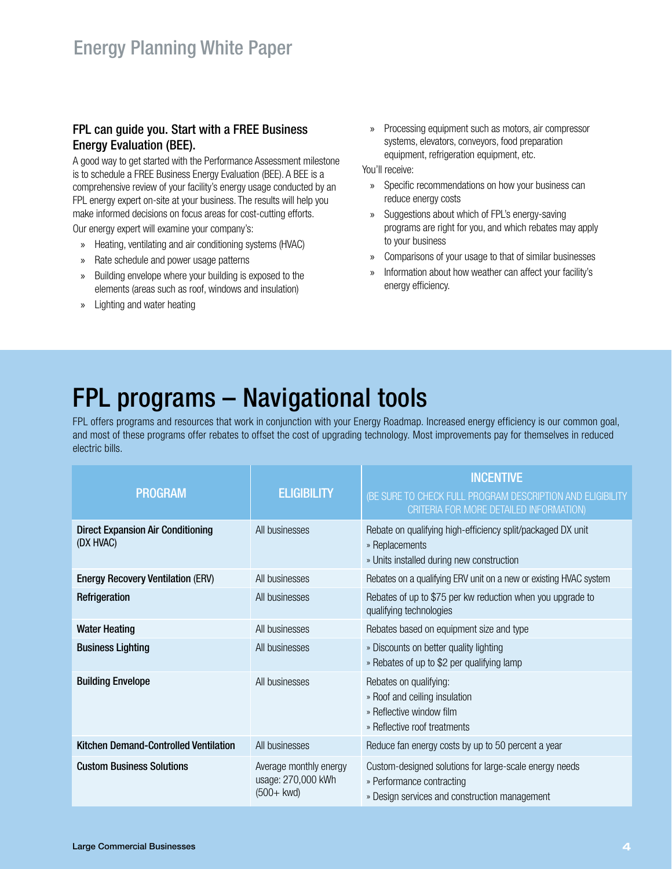#### FPL can guide you. Start with a FREE Business Energy Evaluation (BEE).

A good way to get started with the Performance Assessment milestone is to schedule a FREE Business Energy Evaluation (BEE). A BEE is a comprehensive review of your facility's energy usage conducted by an FPL energy expert on-site at your business. The results will help you make informed decisions on focus areas for cost-cutting efforts.

Our energy expert will examine your company's:

- » Heating, ventilating and air conditioning systems (HVAC)
- » Rate schedule and power usage patterns
- » Building envelope where your building is exposed to the elements (areas such as roof, windows and insulation)
- » Lighting and water heating

» Processing equipment such as motors, air compressor systems, elevators, conveyors, food preparation equipment, refrigeration equipment, etc.

You'll receive:

- » Specific recommendations on how your business can reduce energy costs
- » Suggestions about which of FPL's energy-saving programs are right for you, and which rebates may apply to your business
- » Comparisons of your usage to that of similar businesses
- » Information about how weather can affect your facility's energy efficiency.

## FPL programs – Navigational tools

FPL offers programs and resources that work in conjunction with your Energy Roadmap. Increased energy efficiency is our common goal, and most of these programs offer rebates to offset the cost of upgrading technology. Most improvements pay for themselves in reduced electric bills.

| <b>PROGRAM</b>                                        | <b>ELIGIBILITY</b>                                            | <b>INCENTIVE</b><br>(BE SURE TO CHECK FULL PROGRAM DESCRIPTION AND ELIGIBILITY<br>CRITERIA FOR MORE DETAILED INFORMATION)            |
|-------------------------------------------------------|---------------------------------------------------------------|--------------------------------------------------------------------------------------------------------------------------------------|
| <b>Direct Expansion Air Conditioning</b><br>(DX HVAC) | All businesses                                                | Rebate on qualifying high-efficiency split/packaged DX unit<br>» Replacements<br>» Units installed during new construction           |
| <b>Energy Recovery Ventilation (ERV)</b>              | All businesses                                                | Rebates on a qualifying ERV unit on a new or existing HVAC system                                                                    |
| Refrigeration                                         | All businesses                                                | Rebates of up to \$75 per kw reduction when you upgrade to<br>qualifying technologies                                                |
| <b>Water Heating</b>                                  | All businesses                                                | Rebates based on equipment size and type                                                                                             |
| <b>Business Lighting</b>                              | All businesses                                                | » Discounts on better quality lighting<br>» Rebates of up to \$2 per qualifying lamp                                                 |
| <b>Building Envelope</b>                              | All businesses                                                | Rebates on qualifying:<br>» Roof and ceiling insulation<br>» Reflective window film<br>» Reflective roof treatments                  |
| Kitchen Demand-Controlled Ventilation                 | All businesses                                                | Reduce fan energy costs by up to 50 percent a year                                                                                   |
| <b>Custom Business Solutions</b>                      | Average monthly energy<br>usage: 270,000 kWh<br>$(500 + kwd)$ | Custom-designed solutions for large-scale energy needs<br>» Performance contracting<br>» Design services and construction management |